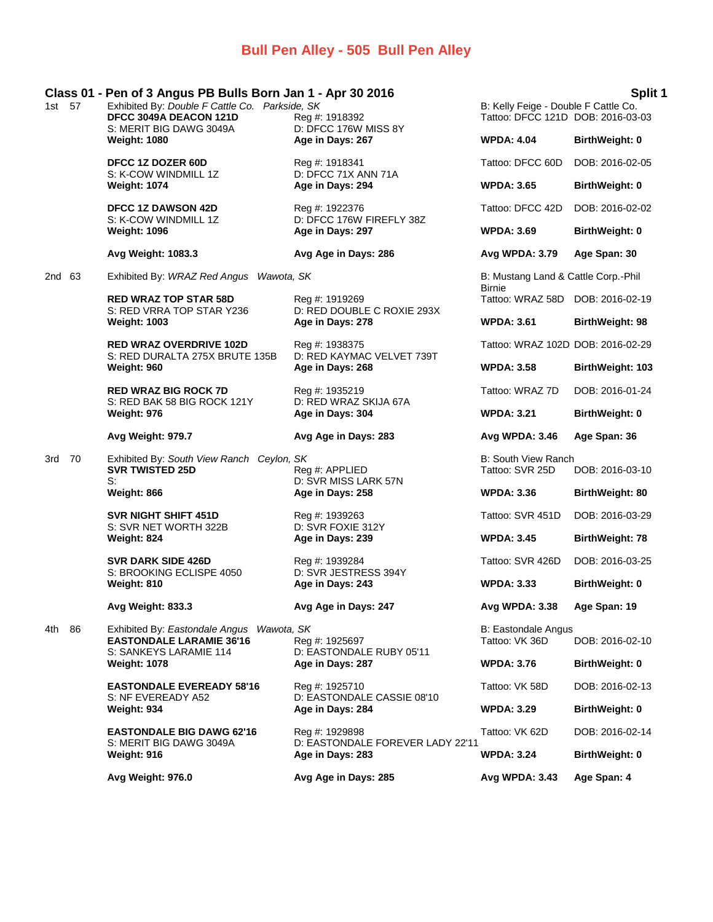# **Bull Pen Alley - 505 Bull Pen Alley**

| 1st 57 |    | Class 01 - Pen of 3 Angus PB Bulls Born Jan 1 - Apr 30 2016<br>Exhibited By: Double F Cattle Co. Parkside, SK<br>DFCC 3049A DEACON 121D<br>S: MERIT BIG DAWG 3049A | Reg #: 1918392<br>D: DFCC 176W MISS 8Y                                                                                             | B: Kelly Feige - Double F Cattle Co.<br>Tattoo: DFCC 121D DOB: 2016-03-03 | Split 1                 |
|--------|----|--------------------------------------------------------------------------------------------------------------------------------------------------------------------|------------------------------------------------------------------------------------------------------------------------------------|---------------------------------------------------------------------------|-------------------------|
|        |    | <b>Weight: 1080</b>                                                                                                                                                | Age in Days: 267                                                                                                                   | <b>WPDA: 4.04</b>                                                         | <b>BirthWeight: 0</b>   |
|        |    | DFCC 1Z DOZER 60D<br>S: K-COW WINDMILL 1Z                                                                                                                          | Reg #: 1918341<br>D: DFCC 71X ANN 71A                                                                                              | Tattoo: DFCC 60D                                                          | DOB: 2016-02-05         |
|        |    | <b>Weight: 1074</b>                                                                                                                                                | Age in Days: 294                                                                                                                   | <b>WPDA: 3.65</b>                                                         | BirthWeight: 0          |
|        |    | <b>DFCC 1Z DAWSON 42D</b><br>S: K-COW WINDMILL 1Z                                                                                                                  | Reg #: 1922376<br>D: DFCC 176W FIREFLY 38Z                                                                                         | Tattoo: DFCC 42D                                                          | DOB: 2016-02-02         |
|        |    | <b>Weight: 1096</b>                                                                                                                                                | Age in Days: 297                                                                                                                   | <b>WPDA: 3.69</b>                                                         | <b>BirthWeight: 0</b>   |
|        |    | Avg Weight: 1083.3                                                                                                                                                 | Avg Age in Days: 286                                                                                                               | Avg WPDA: 3.79                                                            | Age Span: 30            |
| 2nd 63 |    | Exhibited By: WRAZ Red Angus Wawota, SK                                                                                                                            |                                                                                                                                    | B: Mustang Land & Cattle Corp.-Phil<br><b>Birnie</b>                      |                         |
|        |    | <b>RED WRAZ TOP STAR 58D</b><br>S: RED VRRA TOP STAR Y236                                                                                                          | Reg #: 1919269<br>D: RED DOUBLE C ROXIE 293X                                                                                       | Tattoo: WRAZ 58D DOB: 2016-02-19                                          |                         |
|        |    | <b>Weight: 1003</b>                                                                                                                                                | Age in Days: 278                                                                                                                   | <b>WPDA: 3.61</b>                                                         | BirthWeight: 98         |
|        |    | <b>RED WRAZ OVERDRIVE 102D</b><br>S: RED DURALTA 275X BRUTE 135B<br>Weight: 960                                                                                    | Reg #: 1938375<br>D: RED KAYMAC VELVET 739T<br>Age in Days: 268                                                                    | Tattoo: WRAZ 102D DOB: 2016-02-29                                         |                         |
|        |    |                                                                                                                                                                    |                                                                                                                                    | <b>WPDA: 3.58</b>                                                         | <b>BirthWeight: 103</b> |
|        |    | <b>RED WRAZ BIG ROCK 7D</b><br>S: RED BAK 58 BIG ROCK 121Y                                                                                                         | Reg #: 1935219<br>D: RED WRAZ SKIJA 67A                                                                                            | Tattoo: WRAZ 7D                                                           | DOB: 2016-01-24         |
|        |    | Weight: 976                                                                                                                                                        | Age in Days: 304                                                                                                                   | <b>WPDA: 3.21</b>                                                         | BirthWeight: 0          |
|        |    | Avg Weight: 979.7                                                                                                                                                  | Avg Age in Days: 283                                                                                                               | Avg WPDA: 3.46                                                            | Age Span: 36            |
| 3rd 70 |    | Exhibited By: South View Ranch Ceylon, SK<br><b>SVR TWISTED 25D</b><br>S:                                                                                          | Reg #: APPLIED<br>D: SVR MISS LARK 57N                                                                                             | <b>B: South View Ranch</b><br>Tattoo: SVR 25D                             | DOB: 2016-03-10         |
|        |    | Weight: 866                                                                                                                                                        | Age in Days: 258                                                                                                                   | <b>WPDA: 3.36</b>                                                         | BirthWeight: 80         |
|        |    | <b>SVR NIGHT SHIFT 451D</b><br>S: SVR NET WORTH 322B                                                                                                               | Reg #: 1939263<br>D: SVR FOXIE 312Y                                                                                                | Tattoo: SVR 451D                                                          | DOB: 2016-03-29         |
|        |    | Weight: 824                                                                                                                                                        | Age in Days: 239                                                                                                                   | <b>WPDA: 3.45</b>                                                         | <b>BirthWeight: 78</b>  |
|        |    | <b>SVR DARK SIDE 426D</b><br>S: BROOKING ECLISPE 4050                                                                                                              | Reg #: 1939284<br>D: SVR JESTRESS 394Y                                                                                             | Tattoo: SVR 426D                                                          | DOB: 2016-03-25         |
|        |    | Weight: 810                                                                                                                                                        | Age in Days: 243                                                                                                                   | <b>WPDA: 3.33</b>                                                         | BirthWeight: 0          |
|        |    | Avg Weight: 833.3                                                                                                                                                  | Avg Age in Days: 247                                                                                                               | Avg WPDA: 3.38                                                            | Age Span: 19            |
| 4th    | 86 | Exhibited By: Eastondale Angus<br>Wawota, SK<br><b>EASTONDALE LARAMIE 36'16</b><br>S: SANKEYS LARAMIE 114                                                          | Reg #: 1925697<br>D: EASTONDALE RUBY 05'11<br>Age in Days: 287<br>Reg #: 1925710<br>D: EASTONDALE CASSIE 08'10<br>Age in Days: 284 | <b>B: Eastondale Angus</b><br>Tattoo: VK 36D                              | DOB: 2016-02-10         |
|        |    | Weight: 1078                                                                                                                                                       |                                                                                                                                    | <b>WPDA: 3.76</b>                                                         | BirthWeight: 0          |
|        |    | <b>EASTONDALE EVEREADY 58'16</b><br>S: NF EVEREADY A52                                                                                                             |                                                                                                                                    | Tattoo: VK 58D                                                            | DOB: 2016-02-13         |
|        |    | Weight: 934                                                                                                                                                        |                                                                                                                                    | <b>WPDA: 3.29</b>                                                         | BirthWeight: 0          |
|        |    | <b>EASTONDALE BIG DAWG 62'16</b><br>S: MERIT BIG DAWG 3049A                                                                                                        | Reg #: 1929898<br>D: EASTONDALE FOREVER LADY 22'11<br>Age in Days: 283                                                             | Tattoo: VK 62D                                                            | DOB: 2016-02-14         |
|        |    | Weight: 916                                                                                                                                                        |                                                                                                                                    | <b>WPDA: 3.24</b>                                                         | <b>BirthWeight: 0</b>   |
|        |    | Avg Weight: 976.0                                                                                                                                                  | Avg Age in Days: 285                                                                                                               | Avg WPDA: 3.43                                                            | Age Span: 4             |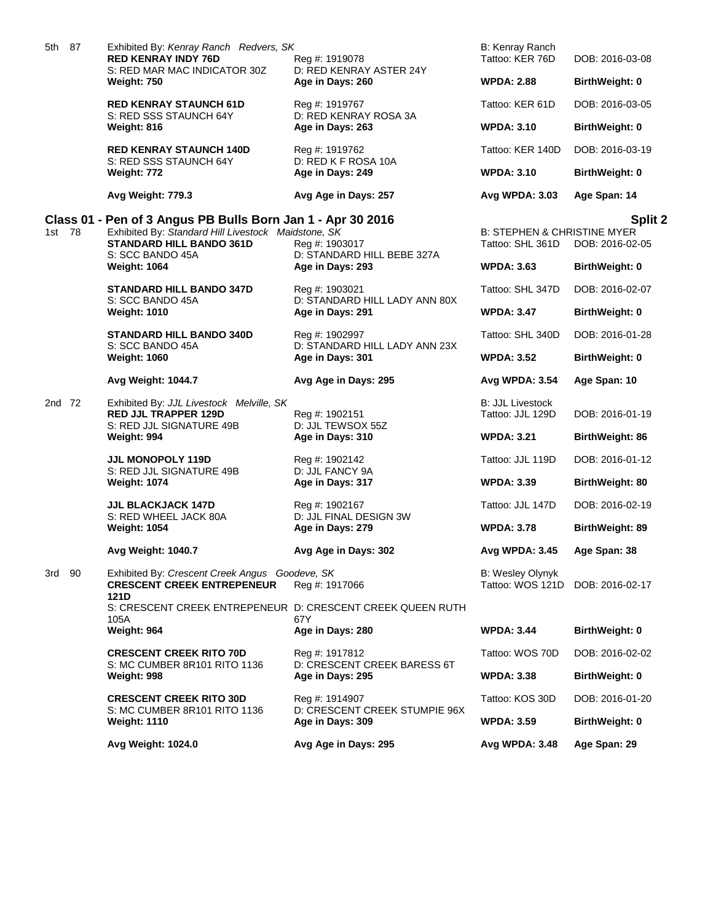| 5th 87 | Exhibited By: Kenray Ranch Redvers, SK<br><b>RED KENRAY INDY 76D</b>                                | Reg #: 1919078                                                      | B: Kenray Ranch<br>Tattoo: KER 76D                         | DOB: 2016-03-08        |
|--------|-----------------------------------------------------------------------------------------------------|---------------------------------------------------------------------|------------------------------------------------------------|------------------------|
|        | S: RED MAR MAC INDICATOR 30Z<br>Weight: 750                                                         | D: RED KENRAY ASTER 24Y<br>Age in Days: 260                         | <b>WPDA: 2.88</b>                                          | <b>BirthWeight: 0</b>  |
|        | <b>RED KENRAY STAUNCH 61D</b>                                                                       | Reg #: 1919767                                                      | Tattoo: KER 61D                                            | DOB: 2016-03-05        |
|        | S: RED SSS STAUNCH 64Y<br>Weight: 816                                                               | D: RED KENRAY ROSA 3A<br>Age in Days: 263                           | <b>WPDA: 3.10</b>                                          | <b>BirthWeight: 0</b>  |
|        | <b>RED KENRAY STAUNCH 140D</b>                                                                      | Reg #: 1919762                                                      | Tattoo: KER 140D                                           | DOB: 2016-03-19        |
|        | S: RED SSS STAUNCH 64Y<br>Weight: 772                                                               | D: RED K F ROSA 10A<br>Age in Days: 249                             | <b>WPDA: 3.10</b>                                          | BirthWeight: 0         |
|        | Avg Weight: 779.3                                                                                   | Avg Age in Days: 257                                                | Avg WPDA: 3.03                                             | Age Span: 14           |
|        | Class 01 - Pen of 3 Angus PB Bulls Born Jan 1 - Apr 30 2016                                         |                                                                     |                                                            | Split 2                |
| 1st 78 | Exhibited By: Standard Hill Livestock Maidstone, SK<br>STANDARD HILL BANDO 361D<br>S: SCC BANDO 45A | Reg #: 1903017<br>D: STANDARD HILL BEBE 327A                        | <b>B: STEPHEN &amp; CHRISTINE MYER</b><br>Tattoo: SHL 361D | DOB: 2016-02-05        |
|        | <b>Weight: 1064</b>                                                                                 | Age in Days: 293                                                    | <b>WPDA: 3.63</b>                                          | <b>BirthWeight: 0</b>  |
|        | <b>STANDARD HILL BANDO 347D</b><br>S: SCC BANDO 45A                                                 | Reg #: 1903021<br>D: STANDARD HILL LADY ANN 80X                     | Tattoo: SHL 347D                                           | DOB: 2016-02-07        |
|        | <b>Weight: 1010</b>                                                                                 | Age in Days: 291                                                    | <b>WPDA: 3.47</b>                                          | <b>BirthWeight: 0</b>  |
|        | <b>STANDARD HILL BANDO 340D</b><br>S: SCC BANDO 45A                                                 | Reg #: 1902997<br>D: STANDARD HILL LADY ANN 23X<br>Age in Days: 301 | Tattoo: SHL 340D                                           | DOB: 2016-01-28        |
|        | <b>Weight: 1060</b>                                                                                 |                                                                     | <b>WPDA: 3.52</b>                                          | BirthWeight: 0         |
|        | <b>Avg Weight: 1044.7</b>                                                                           | Avg Age in Days: 295                                                | Avg WPDA: 3.54                                             | Age Span: 10           |
| 2nd 72 | Exhibited By: JJL Livestock Melville, SK<br><b>RED JJL TRAPPER 129D</b><br>S: RED JJL SIGNATURE 49B | Reg #: 1902151<br>D: JJL TEWSOX 55Z                                 | B: JJL Livestock<br>Tattoo: JJL 129D                       | DOB: 2016-01-19        |
|        | Weight: 994                                                                                         | Age in Days: 310                                                    | <b>WPDA: 3.21</b>                                          | <b>BirthWeight: 86</b> |
|        | <b>JJL MONOPOLY 119D</b><br>S: RED JJL SIGNATURE 49B                                                | Reg #: 1902142<br>D: JJL FANCY 9A                                   | Tattoo: JJL 119D                                           | DOB: 2016-01-12        |
|        | <b>Weight: 1074</b>                                                                                 | Age in Days: 317                                                    | <b>WPDA: 3.39</b>                                          | <b>BirthWeight: 80</b> |
|        | <b>JJL BLACKJACK 147D</b><br>S: RED WHEEL JACK 80A<br><b>Weight: 1054</b>                           | Reg #: 1902167<br>D: JJL FINAL DESIGN 3W<br>Age in Days: 279        | Tattoo: JJL 147D                                           | DOB: 2016-02-19        |
|        |                                                                                                     |                                                                     | <b>WPDA: 3.78</b>                                          | <b>BirthWeight: 89</b> |
|        | Avg Weight: 1040.7                                                                                  | Avg Age in Days: 302                                                | Avg WPDA: 3.45                                             | Age Span: 38           |
| 3rd 90 | Exhibited By: Crescent Creek Angus Goodeve, SK<br><b>CRESCENT CREEK ENTREPENEUR</b><br>121D         | Reg #: 1917066                                                      | B: Wesley Olynyk<br>Tattoo: WOS 121D                       | DOB: 2016-02-17        |
|        | S: CRESCENT CREEK ENTREPENEUR D: CRESCENT CREEK QUEEN RUTH<br>105A                                  | 67Y                                                                 |                                                            |                        |
|        | Weight: 964                                                                                         | Age in Days: 280                                                    | <b>WPDA: 3.44</b>                                          | <b>BirthWeight: 0</b>  |
|        | <b>CRESCENT CREEK RITO 70D</b><br>S: MC CUMBER 8R101 RITO 1136                                      | Reg #: 1917812<br>D: CRESCENT CREEK BARESS 6T                       | Tattoo: WOS 70D                                            | DOB: 2016-02-02        |
|        | Weight: 998                                                                                         | Age in Days: 295                                                    | <b>WPDA: 3.38</b>                                          | BirthWeight: 0         |
|        | <b>CRESCENT CREEK RITO 30D</b><br>S: MC CUMBER 8R101 RITO 1136                                      | Reg #: 1914907<br>D: CRESCENT CREEK STUMPIE 96X                     | Tattoo: KOS 30D                                            | DOB: 2016-01-20        |
|        | <b>Weight: 1110</b>                                                                                 | Age in Days: 309                                                    | <b>WPDA: 3.59</b>                                          | <b>BirthWeight: 0</b>  |
|        | Avg Weight: 1024.0                                                                                  | Avg Age in Days: 295                                                | Avg WPDA: 3.48                                             | Age Span: 29           |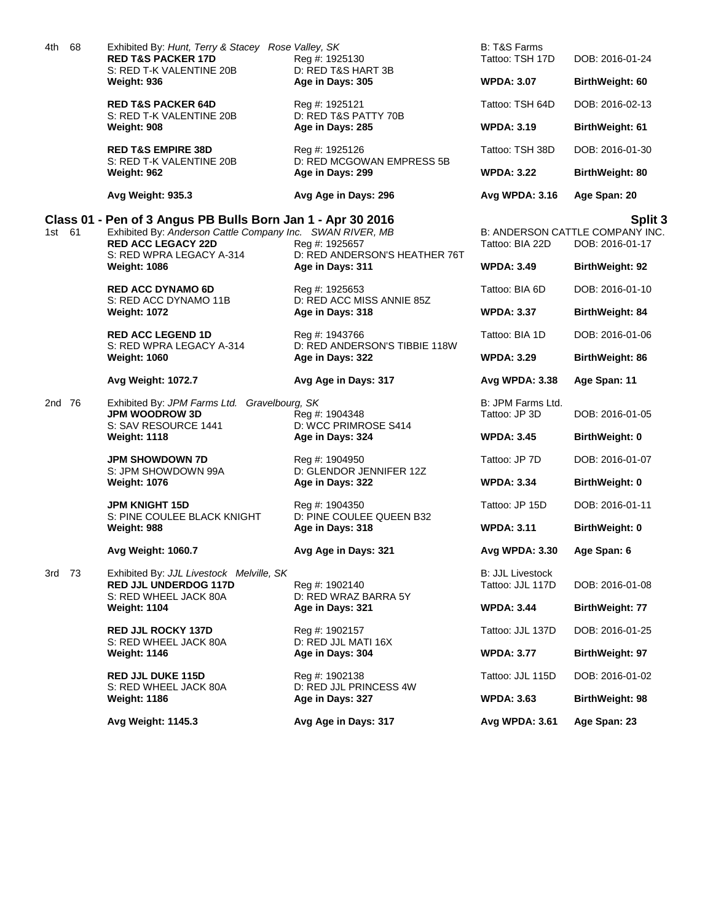| S: RED T-K VALENTINE 20B<br>D: RED T&S HART 3B<br>Weight: 936<br>Age in Days: 305<br><b>WPDA: 3.07</b><br>BirthWeight: 60<br><b>RED T&amp;S PACKER 64D</b><br>Tattoo: TSH 64D<br>Reg #: 1925121<br>S: RED T-K VALENTINE 20B<br>D: RED T&S PATTY 70B<br>Weight: 908<br>Age in Days: 285<br><b>WPDA: 3.19</b><br><b>BirthWeight: 61</b><br><b>RED T&amp;S EMPIRE 38D</b><br>Tattoo: TSH 38D<br>Reg #: 1925126<br>D: RED MCGOWAN EMPRESS 5B<br>S: RED T-K VALENTINE 20B<br>Weight: 962<br>Age in Days: 299<br><b>WPDA: 3.22</b><br>BirthWeight: 80<br>Age Span: 20<br><b>Avg Weight: 935.3</b><br>Avg Age in Days: 296<br><b>Avg WPDA: 3.16</b><br>Class 01 - Pen of 3 Angus PB Bulls Born Jan 1 - Apr 30 2016<br>Exhibited By: Anderson Cattle Company Inc. SWAN RIVER, MB<br>1st 61<br>B: ANDERSON CATTLE COMPANY INC.<br><b>RED ACC LEGACY 22D</b><br>Reg #: 1925657<br>Tattoo: BIA 22D<br>S: RED WPRA LEGACY A-314<br>D: RED ANDERSON'S HEATHER 76T<br><b>WPDA: 3.49</b><br><b>Weight: 1086</b><br>Age in Days: 311<br><b>BirthWeight: 92</b><br><b>RED ACC DYNAMO 6D</b><br>Tattoo: BIA 6D<br>Reg #: 1925653<br>S: RED ACC DYNAMO 11B<br>D: RED ACC MISS ANNIE 85Z<br><b>Weight: 1072</b><br>Age in Days: 318<br><b>WPDA: 3.37</b><br>BirthWeight: 84<br><b>RED ACC LEGEND 1D</b><br>Tattoo: BIA 1D<br>Reg #: 1943766<br>S: RED WPRA LEGACY A-314<br>D: RED ANDERSON'S TIBBIE 118W<br>Age in Days: 322<br><b>WPDA: 3.29</b><br>BirthWeight: 86<br><b>Weight: 1060</b><br><b>Avg Weight: 1072.7</b><br>Avg Age in Days: 317<br>Avg WPDA: 3.38<br>Age Span: 11<br>B: JPM Farms Ltd.<br>2nd 76<br>Exhibited By: JPM Farms Ltd. Gravelbourg, SK<br><b>JPM WOODROW 3D</b><br>Tattoo: JP 3D<br>Reg #: 1904348<br>S: SAV RESOURCE 1441<br>D: WCC PRIMROSE S414<br><b>Weight: 1118</b><br>Age in Days: 324<br><b>WPDA: 3.45</b><br><b>BirthWeight: 0</b><br><b>JPM SHOWDOWN 7D</b><br>Tattoo: JP 7D<br>DOB: 2016-01-07<br>Reg #: 1904950<br>S: JPM SHOWDOWN 99A<br>D: GLENDOR JENNIFER 12Z<br><b>Weight: 1076</b><br>Age in Days: 322<br><b>WPDA: 3.34</b><br><b>BirthWeight: 0</b><br><b>JPM KNIGHT 15D</b><br>Tattoo: JP 15D<br>DOB: 2016-01-11<br>Reg #: 1904350<br>D: PINE COULEE QUEEN B32<br>S: PINE COULEE BLACK KNIGHT<br>Weight: 988<br>Age in Days: 318<br><b>WPDA: 3.11</b><br><b>BirthWeight: 0</b><br>Avg Weight: 1060.7<br>Avg Age in Days: 321<br><b>Avg WPDA: 3.30</b><br>Age Span: 6<br><b>B: JJL Livestock</b><br>3rd 73<br>Exhibited By: JJL Livestock Melville, SK<br><b>RED JJL UNDERDOG 117D</b><br>Tattoo: JJL 117D<br>Reg #: 1902140<br>S: RED WHEEL JACK 80A<br>D: RED WRAZ BARRA 5Y<br><b>WPDA: 3.44</b><br><b>Weight: 1104</b><br>Age in Days: 321<br><b>BirthWeight: 77</b><br>Tattoo: JJL 137D<br><b>RED JJL ROCKY 137D</b><br>Reg #: 1902157<br>S: RED WHEEL JACK 80A<br>D: RED JJL MATI 16X<br><b>Weight: 1146</b><br>Age in Days: 304<br><b>WPDA: 3.77</b><br>BirthWeight: 97 | 68<br>4th | Exhibited By: Hunt, Terry & Stacey Rose Valley, SK<br><b>RED T&amp;S PACKER 17D</b> | Reg #: 1925130 | B: T&S Farms<br>Tattoo: TSH 17D | DOB: 2016-01-24            |
|---------------------------------------------------------------------------------------------------------------------------------------------------------------------------------------------------------------------------------------------------------------------------------------------------------------------------------------------------------------------------------------------------------------------------------------------------------------------------------------------------------------------------------------------------------------------------------------------------------------------------------------------------------------------------------------------------------------------------------------------------------------------------------------------------------------------------------------------------------------------------------------------------------------------------------------------------------------------------------------------------------------------------------------------------------------------------------------------------------------------------------------------------------------------------------------------------------------------------------------------------------------------------------------------------------------------------------------------------------------------------------------------------------------------------------------------------------------------------------------------------------------------------------------------------------------------------------------------------------------------------------------------------------------------------------------------------------------------------------------------------------------------------------------------------------------------------------------------------------------------------------------------------------------------------------------------------------------------------------------------------------------------------------------------------------------------------------------------------------------------------------------------------------------------------------------------------------------------------------------------------------------------------------------------------------------------------------------------------------------------------------------------------------------------------------------------------------------------------------------------------------------------------------------------------------------------------------------------------------------------------------------------------------------------------------------------------------------------------------------------------------------------------------------------------------------------------------------------------------------------------------------------------------|-----------|-------------------------------------------------------------------------------------|----------------|---------------------------------|----------------------------|
|                                                                                                                                                                                                                                                                                                                                                                                                                                                                                                                                                                                                                                                                                                                                                                                                                                                                                                                                                                                                                                                                                                                                                                                                                                                                                                                                                                                                                                                                                                                                                                                                                                                                                                                                                                                                                                                                                                                                                                                                                                                                                                                                                                                                                                                                                                                                                                                                                                                                                                                                                                                                                                                                                                                                                                                                                                                                                                         |           |                                                                                     |                |                                 |                            |
|                                                                                                                                                                                                                                                                                                                                                                                                                                                                                                                                                                                                                                                                                                                                                                                                                                                                                                                                                                                                                                                                                                                                                                                                                                                                                                                                                                                                                                                                                                                                                                                                                                                                                                                                                                                                                                                                                                                                                                                                                                                                                                                                                                                                                                                                                                                                                                                                                                                                                                                                                                                                                                                                                                                                                                                                                                                                                                         |           |                                                                                     |                |                                 | DOB: 2016-02-13            |
|                                                                                                                                                                                                                                                                                                                                                                                                                                                                                                                                                                                                                                                                                                                                                                                                                                                                                                                                                                                                                                                                                                                                                                                                                                                                                                                                                                                                                                                                                                                                                                                                                                                                                                                                                                                                                                                                                                                                                                                                                                                                                                                                                                                                                                                                                                                                                                                                                                                                                                                                                                                                                                                                                                                                                                                                                                                                                                         |           |                                                                                     |                |                                 |                            |
|                                                                                                                                                                                                                                                                                                                                                                                                                                                                                                                                                                                                                                                                                                                                                                                                                                                                                                                                                                                                                                                                                                                                                                                                                                                                                                                                                                                                                                                                                                                                                                                                                                                                                                                                                                                                                                                                                                                                                                                                                                                                                                                                                                                                                                                                                                                                                                                                                                                                                                                                                                                                                                                                                                                                                                                                                                                                                                         |           |                                                                                     |                |                                 | DOB: 2016-01-30            |
|                                                                                                                                                                                                                                                                                                                                                                                                                                                                                                                                                                                                                                                                                                                                                                                                                                                                                                                                                                                                                                                                                                                                                                                                                                                                                                                                                                                                                                                                                                                                                                                                                                                                                                                                                                                                                                                                                                                                                                                                                                                                                                                                                                                                                                                                                                                                                                                                                                                                                                                                                                                                                                                                                                                                                                                                                                                                                                         |           |                                                                                     |                |                                 |                            |
|                                                                                                                                                                                                                                                                                                                                                                                                                                                                                                                                                                                                                                                                                                                                                                                                                                                                                                                                                                                                                                                                                                                                                                                                                                                                                                                                                                                                                                                                                                                                                                                                                                                                                                                                                                                                                                                                                                                                                                                                                                                                                                                                                                                                                                                                                                                                                                                                                                                                                                                                                                                                                                                                                                                                                                                                                                                                                                         |           |                                                                                     |                |                                 |                            |
|                                                                                                                                                                                                                                                                                                                                                                                                                                                                                                                                                                                                                                                                                                                                                                                                                                                                                                                                                                                                                                                                                                                                                                                                                                                                                                                                                                                                                                                                                                                                                                                                                                                                                                                                                                                                                                                                                                                                                                                                                                                                                                                                                                                                                                                                                                                                                                                                                                                                                                                                                                                                                                                                                                                                                                                                                                                                                                         |           |                                                                                     |                |                                 | Split 3<br>DOB: 2016-01-17 |
|                                                                                                                                                                                                                                                                                                                                                                                                                                                                                                                                                                                                                                                                                                                                                                                                                                                                                                                                                                                                                                                                                                                                                                                                                                                                                                                                                                                                                                                                                                                                                                                                                                                                                                                                                                                                                                                                                                                                                                                                                                                                                                                                                                                                                                                                                                                                                                                                                                                                                                                                                                                                                                                                                                                                                                                                                                                                                                         |           |                                                                                     |                |                                 |                            |
|                                                                                                                                                                                                                                                                                                                                                                                                                                                                                                                                                                                                                                                                                                                                                                                                                                                                                                                                                                                                                                                                                                                                                                                                                                                                                                                                                                                                                                                                                                                                                                                                                                                                                                                                                                                                                                                                                                                                                                                                                                                                                                                                                                                                                                                                                                                                                                                                                                                                                                                                                                                                                                                                                                                                                                                                                                                                                                         |           |                                                                                     |                |                                 | DOB: 2016-01-10            |
|                                                                                                                                                                                                                                                                                                                                                                                                                                                                                                                                                                                                                                                                                                                                                                                                                                                                                                                                                                                                                                                                                                                                                                                                                                                                                                                                                                                                                                                                                                                                                                                                                                                                                                                                                                                                                                                                                                                                                                                                                                                                                                                                                                                                                                                                                                                                                                                                                                                                                                                                                                                                                                                                                                                                                                                                                                                                                                         |           |                                                                                     |                |                                 |                            |
|                                                                                                                                                                                                                                                                                                                                                                                                                                                                                                                                                                                                                                                                                                                                                                                                                                                                                                                                                                                                                                                                                                                                                                                                                                                                                                                                                                                                                                                                                                                                                                                                                                                                                                                                                                                                                                                                                                                                                                                                                                                                                                                                                                                                                                                                                                                                                                                                                                                                                                                                                                                                                                                                                                                                                                                                                                                                                                         |           |                                                                                     |                |                                 | DOB: 2016-01-06            |
|                                                                                                                                                                                                                                                                                                                                                                                                                                                                                                                                                                                                                                                                                                                                                                                                                                                                                                                                                                                                                                                                                                                                                                                                                                                                                                                                                                                                                                                                                                                                                                                                                                                                                                                                                                                                                                                                                                                                                                                                                                                                                                                                                                                                                                                                                                                                                                                                                                                                                                                                                                                                                                                                                                                                                                                                                                                                                                         |           |                                                                                     |                |                                 |                            |
|                                                                                                                                                                                                                                                                                                                                                                                                                                                                                                                                                                                                                                                                                                                                                                                                                                                                                                                                                                                                                                                                                                                                                                                                                                                                                                                                                                                                                                                                                                                                                                                                                                                                                                                                                                                                                                                                                                                                                                                                                                                                                                                                                                                                                                                                                                                                                                                                                                                                                                                                                                                                                                                                                                                                                                                                                                                                                                         |           |                                                                                     |                |                                 |                            |
|                                                                                                                                                                                                                                                                                                                                                                                                                                                                                                                                                                                                                                                                                                                                                                                                                                                                                                                                                                                                                                                                                                                                                                                                                                                                                                                                                                                                                                                                                                                                                                                                                                                                                                                                                                                                                                                                                                                                                                                                                                                                                                                                                                                                                                                                                                                                                                                                                                                                                                                                                                                                                                                                                                                                                                                                                                                                                                         |           |                                                                                     |                |                                 | DOB: 2016-01-05            |
|                                                                                                                                                                                                                                                                                                                                                                                                                                                                                                                                                                                                                                                                                                                                                                                                                                                                                                                                                                                                                                                                                                                                                                                                                                                                                                                                                                                                                                                                                                                                                                                                                                                                                                                                                                                                                                                                                                                                                                                                                                                                                                                                                                                                                                                                                                                                                                                                                                                                                                                                                                                                                                                                                                                                                                                                                                                                                                         |           |                                                                                     |                |                                 |                            |
|                                                                                                                                                                                                                                                                                                                                                                                                                                                                                                                                                                                                                                                                                                                                                                                                                                                                                                                                                                                                                                                                                                                                                                                                                                                                                                                                                                                                                                                                                                                                                                                                                                                                                                                                                                                                                                                                                                                                                                                                                                                                                                                                                                                                                                                                                                                                                                                                                                                                                                                                                                                                                                                                                                                                                                                                                                                                                                         |           |                                                                                     |                |                                 |                            |
|                                                                                                                                                                                                                                                                                                                                                                                                                                                                                                                                                                                                                                                                                                                                                                                                                                                                                                                                                                                                                                                                                                                                                                                                                                                                                                                                                                                                                                                                                                                                                                                                                                                                                                                                                                                                                                                                                                                                                                                                                                                                                                                                                                                                                                                                                                                                                                                                                                                                                                                                                                                                                                                                                                                                                                                                                                                                                                         |           |                                                                                     |                |                                 |                            |
|                                                                                                                                                                                                                                                                                                                                                                                                                                                                                                                                                                                                                                                                                                                                                                                                                                                                                                                                                                                                                                                                                                                                                                                                                                                                                                                                                                                                                                                                                                                                                                                                                                                                                                                                                                                                                                                                                                                                                                                                                                                                                                                                                                                                                                                                                                                                                                                                                                                                                                                                                                                                                                                                                                                                                                                                                                                                                                         |           |                                                                                     |                |                                 |                            |
|                                                                                                                                                                                                                                                                                                                                                                                                                                                                                                                                                                                                                                                                                                                                                                                                                                                                                                                                                                                                                                                                                                                                                                                                                                                                                                                                                                                                                                                                                                                                                                                                                                                                                                                                                                                                                                                                                                                                                                                                                                                                                                                                                                                                                                                                                                                                                                                                                                                                                                                                                                                                                                                                                                                                                                                                                                                                                                         |           |                                                                                     |                |                                 |                            |
|                                                                                                                                                                                                                                                                                                                                                                                                                                                                                                                                                                                                                                                                                                                                                                                                                                                                                                                                                                                                                                                                                                                                                                                                                                                                                                                                                                                                                                                                                                                                                                                                                                                                                                                                                                                                                                                                                                                                                                                                                                                                                                                                                                                                                                                                                                                                                                                                                                                                                                                                                                                                                                                                                                                                                                                                                                                                                                         |           |                                                                                     |                |                                 |                            |
|                                                                                                                                                                                                                                                                                                                                                                                                                                                                                                                                                                                                                                                                                                                                                                                                                                                                                                                                                                                                                                                                                                                                                                                                                                                                                                                                                                                                                                                                                                                                                                                                                                                                                                                                                                                                                                                                                                                                                                                                                                                                                                                                                                                                                                                                                                                                                                                                                                                                                                                                                                                                                                                                                                                                                                                                                                                                                                         |           |                                                                                     |                |                                 | DOB: 2016-01-08            |
|                                                                                                                                                                                                                                                                                                                                                                                                                                                                                                                                                                                                                                                                                                                                                                                                                                                                                                                                                                                                                                                                                                                                                                                                                                                                                                                                                                                                                                                                                                                                                                                                                                                                                                                                                                                                                                                                                                                                                                                                                                                                                                                                                                                                                                                                                                                                                                                                                                                                                                                                                                                                                                                                                                                                                                                                                                                                                                         |           |                                                                                     |                |                                 |                            |
|                                                                                                                                                                                                                                                                                                                                                                                                                                                                                                                                                                                                                                                                                                                                                                                                                                                                                                                                                                                                                                                                                                                                                                                                                                                                                                                                                                                                                                                                                                                                                                                                                                                                                                                                                                                                                                                                                                                                                                                                                                                                                                                                                                                                                                                                                                                                                                                                                                                                                                                                                                                                                                                                                                                                                                                                                                                                                                         |           |                                                                                     |                |                                 | DOB: 2016-01-25            |
|                                                                                                                                                                                                                                                                                                                                                                                                                                                                                                                                                                                                                                                                                                                                                                                                                                                                                                                                                                                                                                                                                                                                                                                                                                                                                                                                                                                                                                                                                                                                                                                                                                                                                                                                                                                                                                                                                                                                                                                                                                                                                                                                                                                                                                                                                                                                                                                                                                                                                                                                                                                                                                                                                                                                                                                                                                                                                                         |           |                                                                                     |                |                                 |                            |
| <b>RED JJL DUKE 115D</b><br>Tattoo: JJL 115D<br>Reg #: 1902138<br>S: RED WHEEL JACK 80A<br>D: RED JJL PRINCESS 4W                                                                                                                                                                                                                                                                                                                                                                                                                                                                                                                                                                                                                                                                                                                                                                                                                                                                                                                                                                                                                                                                                                                                                                                                                                                                                                                                                                                                                                                                                                                                                                                                                                                                                                                                                                                                                                                                                                                                                                                                                                                                                                                                                                                                                                                                                                                                                                                                                                                                                                                                                                                                                                                                                                                                                                                       |           |                                                                                     |                |                                 | DOB: 2016-01-02            |
| <b>Weight: 1186</b><br>Age in Days: 327<br><b>WPDA: 3.63</b><br>BirthWeight: 98                                                                                                                                                                                                                                                                                                                                                                                                                                                                                                                                                                                                                                                                                                                                                                                                                                                                                                                                                                                                                                                                                                                                                                                                                                                                                                                                                                                                                                                                                                                                                                                                                                                                                                                                                                                                                                                                                                                                                                                                                                                                                                                                                                                                                                                                                                                                                                                                                                                                                                                                                                                                                                                                                                                                                                                                                         |           |                                                                                     |                |                                 |                            |
| Avg Age in Days: 317<br>Avg Weight: 1145.3<br>Avg WPDA: 3.61<br>Age Span: 23                                                                                                                                                                                                                                                                                                                                                                                                                                                                                                                                                                                                                                                                                                                                                                                                                                                                                                                                                                                                                                                                                                                                                                                                                                                                                                                                                                                                                                                                                                                                                                                                                                                                                                                                                                                                                                                                                                                                                                                                                                                                                                                                                                                                                                                                                                                                                                                                                                                                                                                                                                                                                                                                                                                                                                                                                            |           |                                                                                     |                |                                 |                            |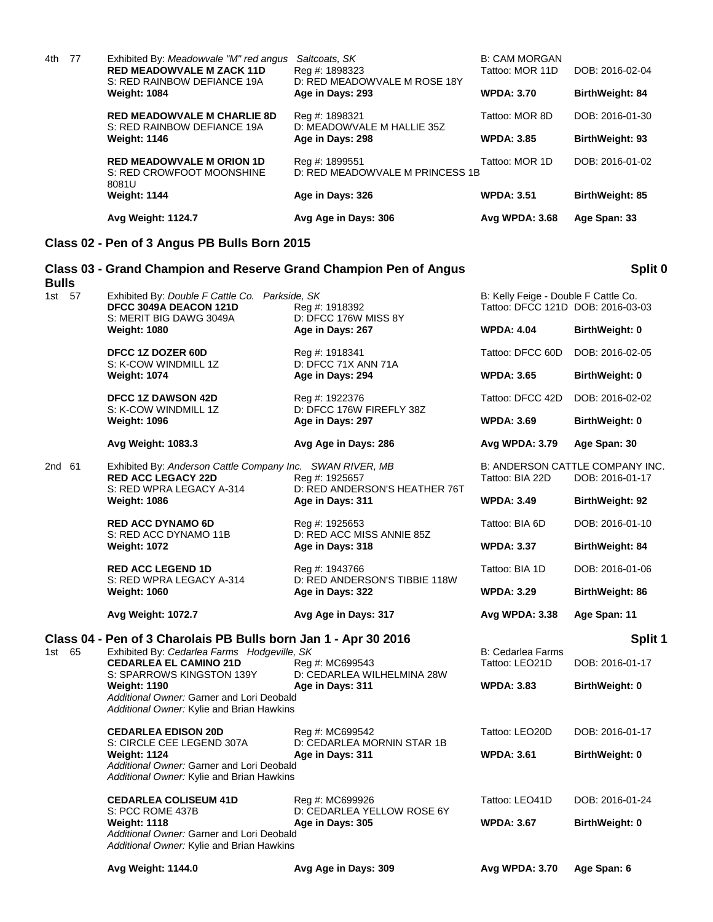|     |      | <b>Avg Weight: 1124.7</b>                                                                                 | Avg Age in Days: 306                                            | Avg WPDA: 3.68                          | Age Span: 33           |
|-----|------|-----------------------------------------------------------------------------------------------------------|-----------------------------------------------------------------|-----------------------------------------|------------------------|
|     |      | <b>Weight: 1144</b>                                                                                       | Age in Days: 326                                                | <b>WPDA: 3.51</b>                       | <b>BirthWeight: 85</b> |
|     |      | <b>RED MEADOWVALE M ORION 1D</b><br>S: RED CROWFOOT MOONSHINE<br>8081U                                    | Reg #: 1899551<br>D: RED MEADOWVALE M PRINCESS 1B               | Tattoo: MOR 1D                          | DOB: 2016-01-02        |
|     |      | <b>Weight: 1146</b>                                                                                       | Age in Days: 298                                                | <b>WPDA: 3.85</b>                       | BirthWeight: 93        |
|     |      | <b>RED MEADOWVALE M CHARLIE 8D</b><br>S: RED RAINBOW DEFIANCE 19A                                         | Reg #: 1898321<br>D: MEADOWVALE M HALLIE 35Z                    | Tattoo: MOR 8D                          | DOB: 2016-01-30        |
|     |      | <b>Weight: 1084</b>                                                                                       | Age in Days: 293                                                | <b>WPDA: 3.70</b>                       | BirthWeight: 84        |
| 4th | - 77 | Exhibited By: Meadowvale "M" red angus<br><b>RED MEADOWVALE M ZACK 11D</b><br>S: RED RAINBOW DEFIANCE 19A | Saltcoats, SK<br>Reg #: 1898323<br>D: RED MEADOWVALE M ROSE 18Y | <b>B: CAM MORGAN</b><br>Tattoo: MOR 11D | DOB: 2016-02-04        |

#### **Class 02 - Pen of 3 Angus PB Bulls Born 2015**

### **Class 03 - Grand Champion and Reserve Grand Champion Pen of Angus Bulls Split 0** 1st 57 Exhibited By: *Double F Cattle Co. Parkside, SK* B: Kelly Feige - Double F Cattle Co. 2016-03<br>16eq #: 1918392 Tattoo: DFCC 121D DOB: 2016-03 **Reg #: 1918392** Tattoo: DFCC 121D DOB: 2016-03-03<br>D: DFCC 176W MISS 8Y S: MERIT BIG DAWG 3049A **Weight: 1080 Age in Days: 267 WPDA: 4.04 BirthWeight: 0 DFCC 1Z DOZER 60D** Reg #: 1918341 **Tattoo: DFCC 60D** DOB: 2016-02-05<br>S: K-COW WINDMILL 1Z D: DFCC 71X ANN 71A S: K-COW WINDMILL 1Z **Weight: 1074 Age in Days: 294 WPDA: 3.65 BirthWeight: 0 DFCC 1Z DAWSON 42D** Reg #: 1922376 Tattoo: DFCC 42D DOB: 2016-02-02<br>S: K-COW WINDMILL 1Z D: DFCC 176W FIREFLY 38Z S: K-COW WINDMILL 1Z D: DFCC 176W FIREFLY 38Z<br>
Weight: 1096 **Age in Days: 297 Weight: 1096 Age in Days: 297 WPDA: 3.69 BirthWeight: 0 Avg Weight: 1083.3 Avg Age in Days: 286 Avg WPDA: 3.79 Age Span: 30** 2nd 61 Exhibited By: *Anderson Cattle Company Inc.* SWAN RIVER, MB B: ANDERSON CATTLE COMPANY INC.<br>RED ACC LEGACY 22D Reg #: 1925657 Tattoo: BIA 22D DOB: 2016-01-17 **RED ACC LEGACY 22D** Reg #: 1925657 S: RED WPRA LEGACY A-314 D: RED ANDERSON'S HEATHER 76T **Weight: 1086 Age in Days: 311 WPDA: 3.49 BirthWeight: 92 RED ACC DYNAMO 6D** Reg #: 1925653 Tattoo: BIA 6D DOB: 2016-01-10 S: RED ACC DYNAMO 11B D: RED ACC MISS ANNIE 85Z **Weight: 1072 Age in Days: 318 WPDA: 3.37 BirthWeight: 84 RED ACC LEGEND 1D** Req #: 1943766 Tattoo: BIA 1D DOB: 2016-01-06 S: RED WPRA LEGACY A-314 D: RED ANDERSON'S TIBBIE 118W **Weight: 1060 Age in Days: 322 WPDA: 3.29 BirthWeight: 86 Avg Weight: 1072.7 Avg Age in Days: 317 Avg WPDA: 3.38 Age Span: 11 Class 04 - Pen of 3 Charolais PB Bulls born Jan 1 - Apr 30 2016 Split 1** 1st 65 Exhibited By: *Cedarlea Farms Hodgeville, SK* **B: Cedarlea Farms** B: Cedarlea Farms **CEDARLEA EL CAMINO 21D** Reg #: MC699543 Tattoo: LEO21D DOB: 2016-01-17 S: SPARROWS KINGSTON 139Y D: CEDARLEA WILHELMINA 28W **Weight: 1190 Age in Days: 311 WPDA: 3.83 BirthWeight: 0** *Additional Owner:* Garner and Lori Deobald *Additional Owner:* Kylie and Brian Hawkins **CEDARLEA EDISON 20D** Reg #: MC699542 Tattoo: LEO20D DOB: 2016-01-17 S: CIRCLE CEE LEGEND 307A D: CEDARLEA MORNIN STAR 1B **Weight: 1124 Age in Days: 311 WPDA: 3.61 BirthWeight: 0** *Additional Owner:* Garner and Lori Deobald *Additional Owner:* Kylie and Brian Hawkins **CEDARLEA COLISEUM 41D** Reg #: MC699926 Tattoo: LEO41D DOB: 2016-01-24<br>S: PCC ROME 437B D: CEDARLEA YELLOW ROSE 6Y D: CEDARLEA YELLOW ROSE 6Y **Weight: 1118 Age in Days: 305 WPDA: 3.67 BirthWeight: 0** *Additional Owner:* Garner and Lori Deobald *Additional Owner:* Kylie and Brian Hawkins **Avg Weight: 1144.0 Avg Age in Days: 309 Avg WPDA: 3.70 Age Span: 6**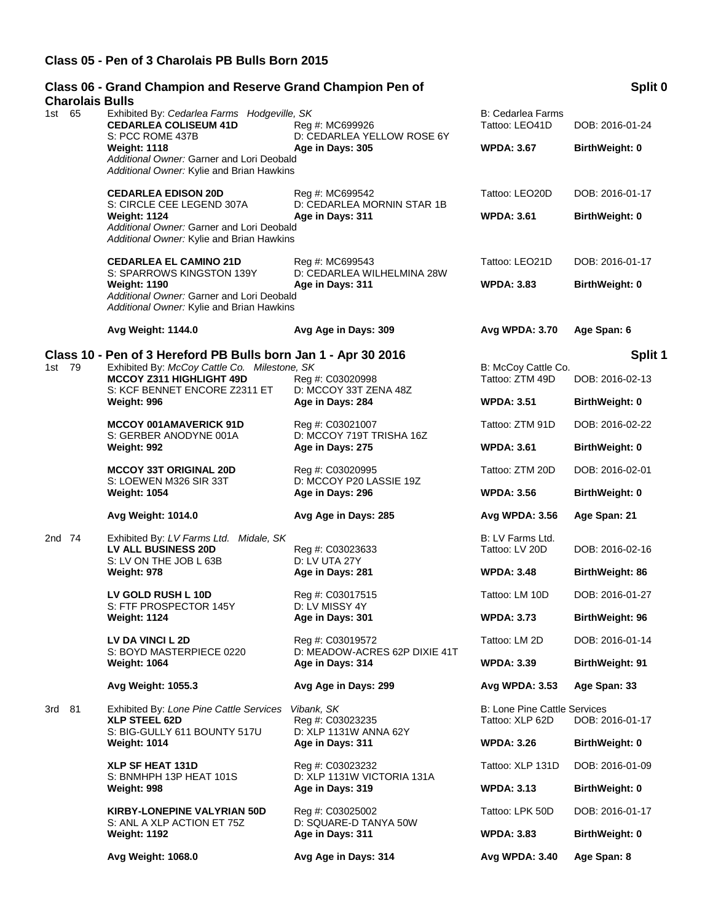#### **Class 05 - Pen of 3 Charolais PB Bulls Born 2015**

## **Class 06 - Grand Champion and Reserve Grand Champion Pen of Charolais Bulls**<br>1st 65 Exhibit 1st 65 Exhibited By: *Cedarlea Farms Hodgeville, SK* B: Cedarlea Farms **CEDARLEA COLISEUM 41D** Reg #: MC699926 Tattoo: LEO41D DOB: 2016-01-24<br>S: PCC ROME 437B D: CEDARLEA YELLOW ROSE 6Y S: PCC ROME 437B D: CEDARLEA YELLOW ROSE 6Y<br>
Weight: 1118 Meight: 1118 **Weight: 1118 Age in Days: 305 WPDA: 3.67 BirthWeight: 0** *Additional Owner:* Garner and Lori Deobald *Additional Owner:* Kylie and Brian Hawkins **CEDARLEA EDISON 20D** Reg #: MC699542 Tattoo: LEO20D DOB: 2016-01-17 S: CIRCLE CEE LEGEND 307A D: CEDARLEA MORNIN STAR 1B **Weight: 1124 Age in Days: 311 WPDA: 3.61 BirthWeight: 0** *Additional Owner:* Garner and Lori Deobald *Additional Owner:* Kylie and Brian Hawkins **CEDARLEA EL CAMINO 21D** Reg #: MC699543 Tattoo: LEO21D DOB: 2016-01-17 S: SPARROWS KINGSTON 139Y D: CEDARLEA WILHELMINA 28W **Weight: 1190 Age in Days: 311 WPDA: 3.83 BirthWeight: 0** *Additional Owner:* Garner and Lori Deobald *Additional Owner:* Kylie and Brian Hawkins **Avg Weight: 1144.0 Avg Age in Days: 309 Avg WPDA: 3.70 Age Span: 6 Class 10 - Pen of 3 Hereford PB Bulls born Jan 1 - Apr 30 2016 Split 1** 1st 79 Exhibited By: *McCoy Cattle Co. Milestone, SK* B: McCoy Cattle Co. Algorithment Co. Communist Reg #: C03020998 B: McCoy Cattle Co. **MCCOY Z311 HIGHLIGHT 49D** Reg #: C03020998 Tattoo: ZTM 49D DOB: 2016-02-13<br>S: KCF BENNET ENCORE Z2311 ET D: MCCOY 33T ZENA 48Z S: KCF BENNET ENCORE Z2311 ET **Weight: 996 Age in Days: 284 WPDA: 3.51 BirthWeight: 0 MCCOY 001AMAVERICK 91D** Reg #: C03021007 Tattoo: ZTM 91D DOB: 2016-02-22 S: GERBER ANODYNE 001A D: MCCOY 719T TRISHA 16Z **Weight: 992 Age in Days: 275 WPDA: 3.61 BirthWeight: 0 MCCOY 33T ORIGINAL 20D** Reg #: C03020995 Tattoo: ZTM 20D DOB: 2016-02-01 S: LOEWEN M326 SIR 33T<br>
Weight: 1054 **D: Mage in Days: 296 Weight: 1054 Age in Days: 296 WPDA: 3.56 BirthWeight: 0 Avg Weight: 1014.0 Avg Age in Days: 285 Avg WPDA: 3.56 Age Span: 21** 2nd 74 Exhibited By: *LV Farms Ltd. Midale, SK* B: LV Farms Ltd. And Tattoo: LV Farms Ltd. Business 20D B: LV Beg #: C03023633 B: LV Fattoo: LV 20D **LV ALL BUSINESS 20D** Reg #: C03023633 Tattoo: LV 20D DOB: 2016-02-16 S: LV ON THE JOB L 63B D: LV UTA 27Y **Weight: 978 Age in Days: 281 WPDA: 3.48 BirthWeight: 86 LV GOLD RUSH L 10D** Reg #: C03017515 Tattoo: LM 10D DOB: 2016-01-27 S: FTF PROSPECTOR 145Y D: LV MISSY 4Y **Weight: 1124 Age in Days: 301 WPDA: 3.73 BirthWeight: 96 LV DA VINCI L 2D** Reg #: C03019572 Tattoo: LM 2D DOB: 2016-01-14 S: BOYD MASTERPIECE 0220 D: MEADOW-ACRES 62P DIXIE 41T **Weight: 1064 Age in Days: 314 WPDA: 3.39 BirthWeight: 91 Avg Weight: 1055.3 Avg Age in Days: 299 Avg WPDA: 3.53 Age Span: 33** 3rd 81 Exhibited By: *Lone Pine Cattle Services Vibank, SK* B: Lone Pine Cattle Services B: Lone Pine Cattle Services<br>**XLP STEEL 62D** Bea #: C03023235 **Bigger Station: XLP 62D** DOB: 2016-01-17 **XLP STEEL 62D** Reg #: C03023235<br>S: BIG-GULLY 611 BOUNTY 517U D: XLP 1131W ANNA 62Y S: BIG-GULLY 611 BOUNTY 517U **Weight: 1014 Age in Days: 311 WPDA: 3.26 BirthWeight: 0 XLP SF HEAT 131D** Reg #: C03023232 Tattoo: XLP 131D DOB: 2016-01-09 S: BNMHPH 13P HEAT 101S D: XLP 1131W VICTORIA 131A **Weight: 998 Age in Days: 319 WPDA: 3.13 BirthWeight: 0 KIRBY-LONEPINE VALYRIAN 50D** Reg #: C03025002 Tattoo: LPK 50D DOB: 2016-01-17 S: ANL A XLP ACTION ET 75Z D: SQUARE-D TANYA 50W<br>
Weight: 1192 **Age in Days: 311 Age in Days: 311 WPDA: 3.83 BirthWeight: 0 Avg Weight: 1068.0 Avg Age in Days: 314 Avg WPDA: 3.40 Age Span: 8**

## **Split 0**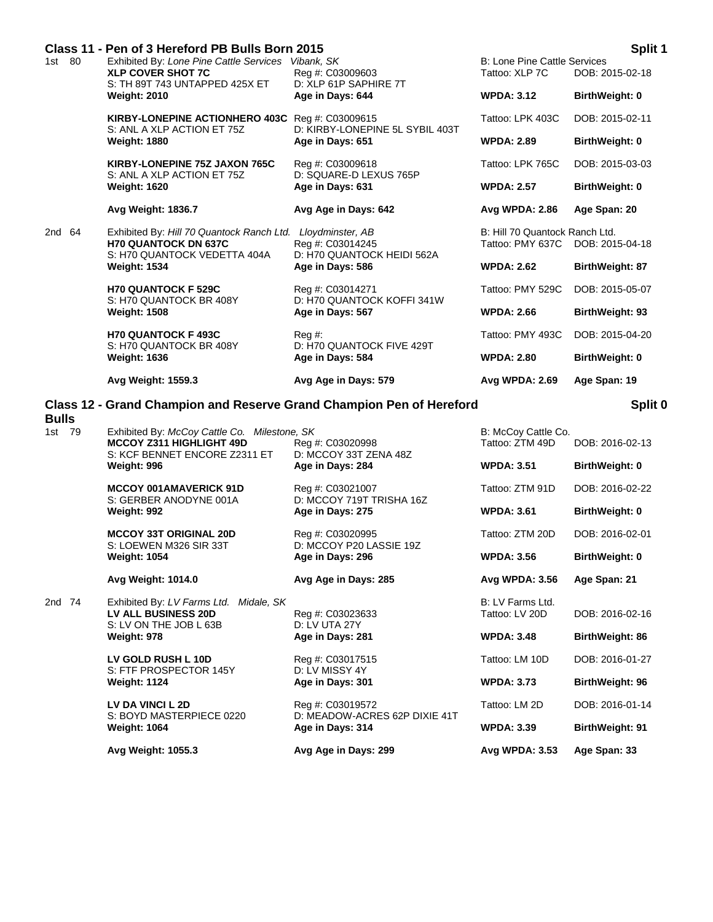|           | Avg Weight: 1559.3                                                            | Avg Age in Days: 579                                                    | Avg WPDA: 2.69                                        | Age Span: 19           |
|-----------|-------------------------------------------------------------------------------|-------------------------------------------------------------------------|-------------------------------------------------------|------------------------|
|           | S: H70 QUANTOCK BR 408Y<br><b>Weight: 1636</b>                                | D: H70 QUANTOCK FIVE 429T<br>Age in Days: 584                           | <b>WPDA: 2.80</b>                                     | BirthWeight: 0         |
|           | <b>H70 QUANTOCK F493C</b>                                                     | $Req \#$ :                                                              | Tattoo: PMY 493C                                      | DOB: 2015-04-20        |
|           | S: H70 QUANTOCK BR 408Y<br><b>Weight: 1508</b>                                | D: H70 QUANTOCK KOFFI 341W<br>Age in Days: 567                          | <b>WPDA: 2.66</b>                                     | <b>BirthWeight: 93</b> |
|           | <b>H70 QUANTOCK F 529C</b>                                                    | Age in Days: 586<br>Reg #: C03014271                                    | Tattoo: PMY 529C                                      | DOB: 2015-05-07        |
|           | S: H70 QUANTOCK VEDETTA 404A<br><b>Weight: 1534</b>                           |                                                                         | <b>WPDA: 2.62</b>                                     | BirthWeight: 87        |
| 2nd<br>64 | Exhibited By: Hill 70 Quantock Ranch Ltd.<br><b>H70 QUANTOCK DN 637C</b>      | Lloydminster, AB<br>Reg #: C03014245<br>D: H70 QUANTOCK HEIDI 562A      | B: Hill 70 Quantock Ranch Ltd.<br>Tattoo: PMY 637C    | DOB: 2015-04-18        |
|           | Avg Weight: 1836.7                                                            | Avg Age in Days: 642                                                    | Avg WPDA: 2.86                                        | Age Span: 20           |
|           | S: ANL A XLP ACTION ET 75Z<br><b>Weight: 1620</b>                             | D: SQUARE-D LEXUS 765P<br>Age in Days: 631                              | <b>WPDA: 2.57</b>                                     | BirthWeight: 0         |
|           | KIRBY-LONEPINE 75Z JAXON 765C                                                 | D: KIRBY-LONEPINE 5L SYBIL 403T<br>Age in Days: 651<br>Reg #: C03009618 | Tattoo: LPK 765C                                      | DOB: 2015-03-03        |
|           | <b>Weight: 1880</b>                                                           |                                                                         | <b>WPDA: 2.89</b>                                     | BirthWeight: 0         |
|           | KIRBY-LONEPINE ACTIONHERO 403C Reg #: C03009615<br>S: ANL A XLP ACTION ET 75Z |                                                                         | Tattoo: LPK 403C                                      | DOB: 2015-02-11        |
|           | S: TH 89T 743 UNTAPPED 425X ET<br><b>Weight: 2010</b>                         | D: XLP 61P SAPHIRE 7T<br>Age in Days: 644                               | <b>WPDA: 3.12</b>                                     | BirthWeight: 0         |
| 1st 80    | Exhibited By: Lone Pine Cattle Services<br><b>XLP COVER SHOT 7C</b>           | Vibank, SK<br>Reg #: C03009603                                          | <b>B: Lone Pine Cattle Services</b><br>Tattoo: XLP 7C | DOB: 2015-02-18        |
|           | Class 11 - Pen of 3 Hereford PB Bulls Born 2015                               |                                                                         |                                                       | Split 1                |

# **Class 12 - Grand Champion and Reserve Grand Champion Pen of Hereford**

| <b>Bulls</b> |      |                                                                                                                  |                                                   |                                        |                        |
|--------------|------|------------------------------------------------------------------------------------------------------------------|---------------------------------------------------|----------------------------------------|------------------------|
| 1st          | - 79 | Exhibited By: McCoy Cattle Co. Milestone, SK<br><b>MCCOY Z311 HIGHLIGHT 49D</b><br>S: KCF BENNET ENCORE Z2311 ET | Reg #: C03020998<br>D: MCCOY 33T ZENA 48Z         | B: McCoy Cattle Co.<br>Tattoo: ZTM 49D | DOB: 2016-02-13        |
|              |      | Weight: 996                                                                                                      | Age in Days: 284                                  | <b>WPDA: 3.51</b>                      | <b>BirthWeight: 0</b>  |
|              |      | <b>MCCOY 001AMAVERICK 91D</b><br>S: GERBER ANODYNE 001A                                                          | Reg #: C03021007<br>D: MCCOY 719T TRISHA 16Z      | Tattoo: ZTM 91D                        | DOB: 2016-02-22        |
|              |      | Weight: 992                                                                                                      | Age in Days: 275                                  | <b>WPDA: 3.61</b>                      | BirthWeight: 0         |
|              |      | <b>MCCOY 33T ORIGINAL 20D</b><br>S: LOEWEN M326 SIR 33T                                                          | Reg #: C03020995<br>D: MCCOY P20 LASSIE 19Z       | Tattoo: ZTM 20D                        | DOB: 2016-02-01        |
|              |      | <b>Weight: 1054</b>                                                                                              | Age in Days: 296                                  | <b>WPDA: 3.56</b>                      | BirthWeight: 0         |
|              |      | Avg Weight: 1014.0                                                                                               | Avg Age in Days: 285                              | Avg WPDA: 3.56                         | Age Span: 21           |
| 2nd 74       |      | Exhibited By: LV Farms Ltd.<br>Midale, SK<br><b>LV ALL BUSINESS 20D</b><br>S: LV ON THE JOB L 63B                | Reg #: C03023633<br><b>D: LV UTA 27Y</b>          | B: LV Farms Ltd.<br>Tattoo: LV 20D     | DOB: 2016-02-16        |
|              |      | Weight: 978                                                                                                      | Age in Days: 281                                  | <b>WPDA: 3.48</b>                      | <b>BirthWeight: 86</b> |
|              |      | LV GOLD RUSH L 10D<br>S: FTF PROSPECTOR 145Y                                                                     | Reg #: C03017515<br>D: LV MISSY 4Y                | Tattoo: LM 10D                         | DOB: 2016-01-27        |
|              |      | <b>Weight: 1124</b>                                                                                              | Age in Days: 301                                  | <b>WPDA: 3.73</b>                      | BirthWeight: 96        |
|              |      | LV DA VINCI L 2D<br>S: BOYD MASTERPIECE 0220                                                                     | Reg #: C03019572<br>D: MEADOW-ACRES 62P DIXIE 41T | Tattoo: LM 2D                          | DOB: 2016-01-14        |
|              |      | <b>Weight: 1064</b>                                                                                              | Age in Days: 314                                  | <b>WPDA: 3.39</b>                      | <b>BirthWeight: 91</b> |
|              |      | Avg Weight: 1055.3                                                                                               | Avg Age in Days: 299                              | Avg WPDA: 3.53                         | Age Span: 33           |

**Split 0**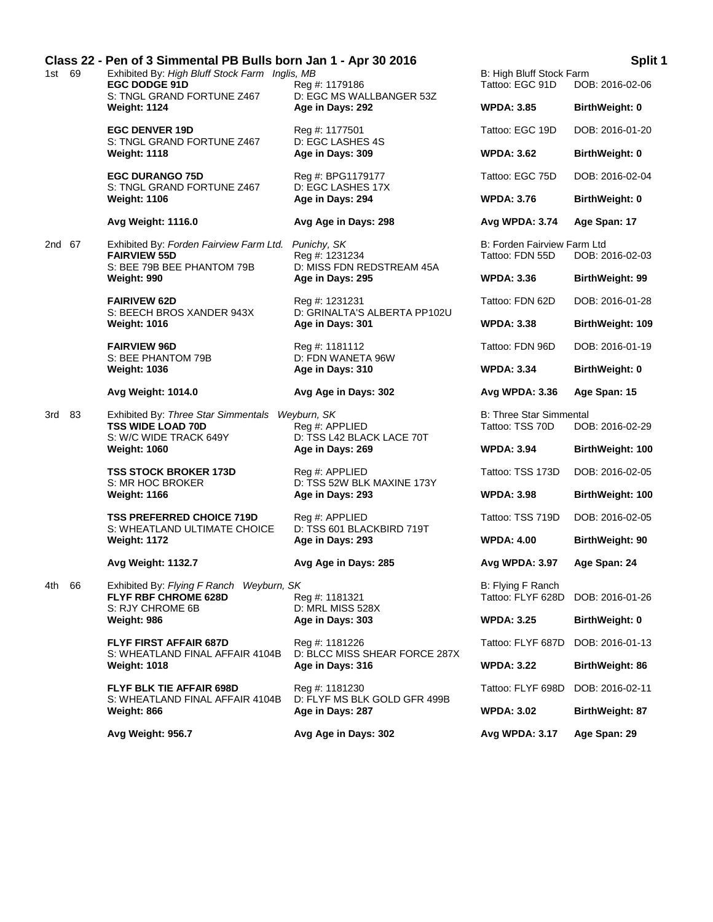|        |      | Class 22 - Pen of 3 Simmental PB Bulls born Jan 1 - Apr 30 2016                                                                                                              |                                                                    |                                                   | Split 1                 |
|--------|------|------------------------------------------------------------------------------------------------------------------------------------------------------------------------------|--------------------------------------------------------------------|---------------------------------------------------|-------------------------|
| 1st 69 |      | Exhibited By: High Bluff Stock Farm Inglis, MB<br><b>EGC DODGE 91D</b><br>S: TNGL GRAND FORTUNE Z467<br><b>Weight: 1124</b>                                                  | Reg #: 1179186<br>D: EGC MS WALLBANGER 53Z                         | B: High Bluff Stock Farm<br>Tattoo: EGC 91D       | DOB: 2016-02-06         |
|        |      |                                                                                                                                                                              | Age in Days: 292                                                   | <b>WPDA: 3.85</b>                                 | <b>BirthWeight: 0</b>   |
|        |      | <b>EGC DENVER 19D</b><br>S: TNGL GRAND FORTUNE Z467                                                                                                                          | Reg #: 1177501<br>D: EGC LASHES 4S                                 | Tattoo: EGC 19D                                   | DOB: 2016-01-20         |
|        |      | <b>Weight: 1118</b>                                                                                                                                                          | Age in Days: 309                                                   | <b>WPDA: 3.62</b>                                 | <b>BirthWeight: 0</b>   |
|        |      | <b>EGC DURANGO 75D</b><br>S: TNGL GRAND FORTUNE Z467                                                                                                                         | Reg #: BPG1179177<br>D: EGC LASHES 17X                             | Tattoo: EGC 75D                                   | DOB: 2016-02-04         |
|        |      | <b>Weight: 1106</b>                                                                                                                                                          | Age in Days: 294                                                   | <b>WPDA: 3.76</b>                                 | <b>BirthWeight: 0</b>   |
|        |      | Avg Weight: 1116.0                                                                                                                                                           | Avg Age in Days: 298                                               | Avg WPDA: 3.74                                    | Age Span: 17            |
| 2nd 67 |      | Exhibited By: Forden Fairview Farm Ltd. Punichy, SK<br><b>FAIRVIEW 55D</b><br>S: BEE 79B BEE PHANTOM 79B                                                                     | Reg #: 1231234<br>D: MISS FDN REDSTREAM 45A                        | B: Forden Fairview Farm Ltd<br>Tattoo: FDN 55D    | DOB: 2016-02-03         |
|        |      | Weight: 990                                                                                                                                                                  | Age in Days: 295                                                   | <b>WPDA: 3.36</b>                                 | <b>BirthWeight: 99</b>  |
|        |      | <b>FAIRIVEW 62D</b><br>S: BEECH BROS XANDER 943X                                                                                                                             | Reg #: 1231231<br>D: GRINALTA'S ALBERTA PP102U                     | Tattoo: FDN 62D                                   | DOB: 2016-01-28         |
|        |      | <b>Weight: 1016</b>                                                                                                                                                          | Age in Days: 301                                                   | <b>WPDA: 3.38</b>                                 | <b>BirthWeight: 109</b> |
|        |      | <b>FAIRVIEW 96D</b><br>S: BEE PHANTOM 79B<br><b>Weight: 1036</b>                                                                                                             | Reg #: 1181112<br>D: FDN WANETA 96W<br>Age in Days: 310            | Tattoo: FDN 96D                                   | DOB: 2016-01-19         |
|        |      |                                                                                                                                                                              |                                                                    | <b>WPDA: 3.34</b>                                 | BirthWeight: 0          |
|        |      | <b>Avg Weight: 1014.0</b>                                                                                                                                                    | Avg Age in Days: 302                                               | Avg WPDA: 3.36                                    | Age Span: 15            |
| 3rd 83 |      | Exhibited By: Three Star Simmentals Weyburn, SK<br><b>TSS WIDE LOAD 70D</b><br>S: W/C WIDE TRACK 649Y                                                                        | Reg #: APPLIED<br>D: TSS L42 BLACK LACE 70T                        | <b>B: Three Star Simmental</b><br>Tattoo: TSS 70D | DOB: 2016-02-29         |
|        |      | <b>Weight: 1060</b>                                                                                                                                                          | Age in Days: 269                                                   | <b>WPDA: 3.94</b>                                 | BirthWeight: 100        |
|        |      | <b>TSS STOCK BROKER 173D</b><br>S: MR HOC BROKER                                                                                                                             | Reg #: APPLIED<br>D: TSS 52W BLK MAXINE 173Y                       | Tattoo: TSS 173D                                  | DOB: 2016-02-05         |
|        |      | <b>Weight: 1166</b>                                                                                                                                                          | Age in Days: 293                                                   | <b>WPDA: 3.98</b>                                 | <b>BirthWeight: 100</b> |
|        |      | <b>TSS PREFERRED CHOICE 719D</b><br>S: WHEATLAND ULTIMATE CHOICE                                                                                                             | Rea #: APPLIED<br>D: TSS 601 BLACKBIRD 719T                        | Tattoo: TSS 719D                                  | DOB: 2016-02-05         |
|        |      | <b>Weight: 1172</b>                                                                                                                                                          | Age in Days: 293                                                   | <b>WPDA: 4.00</b>                                 | BirthWeight: 90         |
|        |      | Avg Weight: 1132.7                                                                                                                                                           | Avg Age in Days: 285                                               | Avg WPDA: 3.97                                    | Age Span: 24            |
| 4th    | - 66 | Exhibited By: Flying F Ranch Weyburn, SK<br><b>FLYF RBF CHROME 628D</b><br>S: RJY CHROME 6B<br>Weight: 986                                                                   | Reg #: 1181321<br>D: MRL MISS 528X<br>Age in Days: 303             | B: Flying F Ranch<br>Tattoo: FLYF 628D            | DOB: 2016-01-26         |
|        |      |                                                                                                                                                                              |                                                                    | <b>WPDA: 3.25</b>                                 | <b>BirthWeight: 0</b>   |
|        |      | <b>FLYF FIRST AFFAIR 687D</b><br>S: WHEATLAND FINAL AFFAIR 4104B<br><b>Weight: 1018</b><br><b>FLYF BLK TIE AFFAIR 698D</b><br>S: WHEATLAND FINAL AFFAIR 4104B<br>Weight: 866 | Reg #: 1181226                                                     | Tattoo: FLYF 687D                                 | DOB: 2016-01-13         |
|        |      |                                                                                                                                                                              | D: BLCC MISS SHEAR FORCE 287X<br>Age in Days: 316                  | <b>WPDA: 3.22</b>                                 | <b>BirthWeight: 86</b>  |
|        |      |                                                                                                                                                                              | Reg #: 1181230<br>D: FLYF MS BLK GOLD GFR 499B<br>Age in Days: 287 | Tattoo: FLYF 698D                                 | DOB: 2016-02-11         |
|        |      |                                                                                                                                                                              |                                                                    | <b>WPDA: 3.02</b>                                 | <b>BirthWeight: 87</b>  |
|        |      | Avg Weight: 956.7                                                                                                                                                            | Avg Age in Days: 302                                               | Avg WPDA: 3.17                                    | Age Span: 29            |
|        |      |                                                                                                                                                                              |                                                                    |                                                   |                         |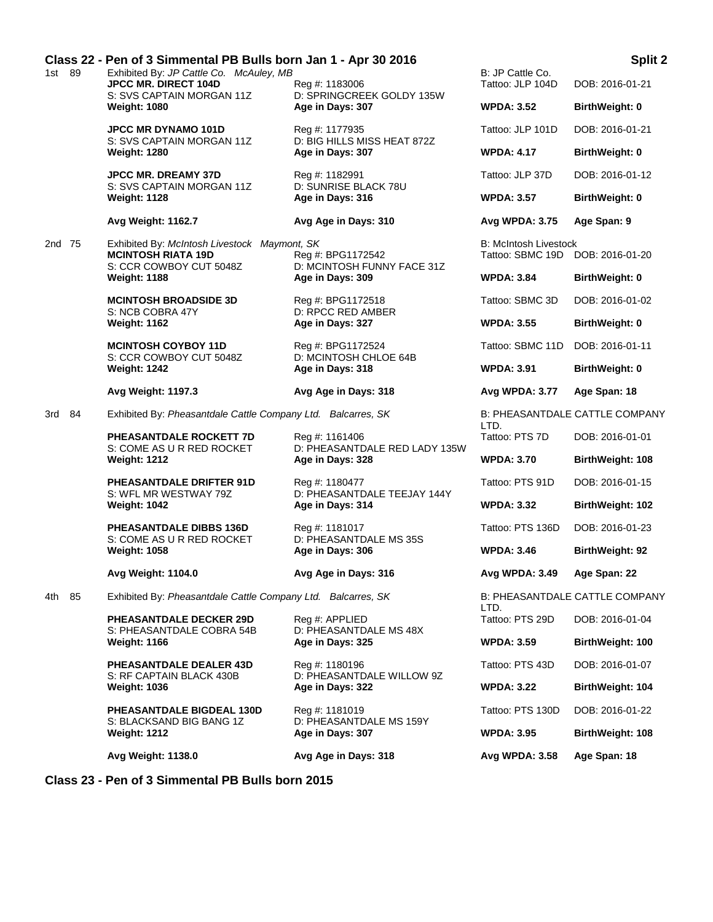|  | Class 22 - Pen of 3 Simmental PB Bulls born Jan 1 - Apr 30 2016 |        |                                                                                                                                                                         |                                                                                                                                 |                                                  | Split 2                               |
|--|-----------------------------------------------------------------|--------|-------------------------------------------------------------------------------------------------------------------------------------------------------------------------|---------------------------------------------------------------------------------------------------------------------------------|--------------------------------------------------|---------------------------------------|
|  |                                                                 | 1st 89 | Exhibited By: JP Cattle Co. McAuley, MB<br>JPCC MR. DIRECT 104D<br>S: SVS CAPTAIN MORGAN 11Z<br><b>Weight: 1080</b>                                                     | Reg #: 1183006<br>D: SPRINGCREEK GOLDY 135W                                                                                     | B: JP Cattle Co.<br>Tattoo: JLP 104D             | DOB: 2016-01-21                       |
|  |                                                                 |        |                                                                                                                                                                         | Age in Days: 307                                                                                                                | <b>WPDA: 3.52</b>                                | <b>BirthWeight: 0</b>                 |
|  |                                                                 |        | <b>JPCC MR DYNAMO 101D</b>                                                                                                                                              | Reg #: 1177935                                                                                                                  | Tattoo: JLP 101D                                 | DOB: 2016-01-21                       |
|  |                                                                 |        | S: SVS CAPTAIN MORGAN 11Z<br><b>Weight: 1280</b>                                                                                                                        | D: BIG HILLS MISS HEAT 872Z<br>Age in Days: 307                                                                                 | <b>WPDA: 4.17</b>                                | BirthWeight: 0                        |
|  |                                                                 |        | <b>JPCC MR. DREAMY 37D</b><br>S: SVS CAPTAIN MORGAN 11Z                                                                                                                 | Reg #: 1182991<br>D: SUNRISE BLACK 78U                                                                                          | Tattoo: JLP 37D                                  | DOB: 2016-01-12                       |
|  |                                                                 |        | <b>Weight: 1128</b>                                                                                                                                                     | Age in Days: 316                                                                                                                | <b>WPDA: 3.57</b>                                | <b>BirthWeight: 0</b>                 |
|  |                                                                 |        | Avg Weight: 1162.7                                                                                                                                                      | Avg Age in Days: 310                                                                                                            | Avg WPDA: 3.75                                   | Age Span: 9                           |
|  | 2nd 75                                                          |        | Exhibited By: McIntosh Livestock Maymont, SK<br><b>MCINTOSH RIATA 19D</b><br>S: CCR COWBOY CUT 5048Z                                                                    | Reg #: BPG1172542<br>D: MCINTOSH FUNNY FACE 31Z                                                                                 | <b>B: McIntosh Livestock</b><br>Tattoo: SBMC 19D | DOB: 2016-01-20                       |
|  |                                                                 |        | <b>Weight: 1188</b>                                                                                                                                                     | Age in Days: 309                                                                                                                | <b>WPDA: 3.84</b>                                | BirthWeight: 0                        |
|  |                                                                 |        | <b>MCINTOSH BROADSIDE 3D</b><br>S: NCB COBRA 47Y                                                                                                                        | Reg #: BPG1172518<br>D: RPCC RED AMBER<br>Age in Days: 327<br>Reg #: BPG1172524<br>D: MCINTOSH CHLOE 64B                        | Tattoo: SBMC 3D                                  | DOB: 2016-01-02                       |
|  |                                                                 |        | <b>Weight: 1162</b><br><b>MCINTOSH COYBOY 11D</b><br>S: CCR COWBOY CUT 5048Z                                                                                            |                                                                                                                                 | <b>WPDA: 3.55</b>                                | <b>BirthWeight: 0</b>                 |
|  |                                                                 |        |                                                                                                                                                                         |                                                                                                                                 | Tattoo: SBMC 11D                                 | DOB: 2016-01-11                       |
|  |                                                                 |        | <b>Weight: 1242</b>                                                                                                                                                     | Age in Days: 318                                                                                                                | <b>WPDA: 3.91</b>                                | <b>BirthWeight: 0</b>                 |
|  |                                                                 |        | Avg Weight: 1197.3                                                                                                                                                      | Avg Age in Days: 318                                                                                                            | Avg WPDA: 3.77                                   | Age Span: 18                          |
|  | 3rd                                                             | - 84   | Exhibited By: Pheasantdale Cattle Company Ltd. Balcarres, SK                                                                                                            |                                                                                                                                 |                                                  | B: PHEASANTDALE CATTLE COMPANY        |
|  |                                                                 |        | PHEASANTDALE ROCKETT 7D                                                                                                                                                 | Reg #: 1161406                                                                                                                  | LTD.<br>Tattoo: PTS 7D                           | DOB: 2016-01-01                       |
|  |                                                                 |        | S: COME AS U R RED ROCKET<br><b>Weight: 1212</b>                                                                                                                        | D: PHEASANTDALE RED LADY 135W<br>Age in Days: 328                                                                               | <b>WPDA: 3.70</b>                                | BirthWeight: 108                      |
|  |                                                                 |        | PHEASANTDALE DRIFTER 91D<br>S: WFL MR WESTWAY 79Z<br><b>Weight: 1042</b><br>PHEASANTDALE DIBBS 136D<br>S: COME AS U R RED ROCKET<br><b>Weight: 1058</b>                 | Reg #: 1180477<br>D: PHEASANTDALE TEEJAY 144Y                                                                                   | Tattoo: PTS 91D                                  | DOB: 2016-01-15                       |
|  |                                                                 |        |                                                                                                                                                                         | Age in Days: 314                                                                                                                | <b>WPDA: 3.32</b>                                | BirthWeight: 102                      |
|  |                                                                 |        |                                                                                                                                                                         | Reg #: 1181017<br>D: PHEASANTDALE MS 35S<br>Age in Days: 306                                                                    | Tattoo: PTS 136D                                 | DOB: 2016-01-23                       |
|  |                                                                 |        |                                                                                                                                                                         |                                                                                                                                 | <b>WPDA: 3.46</b>                                | BirthWeight: 92                       |
|  |                                                                 |        | Avg Weight: 1104.0                                                                                                                                                      | Avg Age in Days: 316                                                                                                            | Avg WPDA: 3.49                                   | Age Span: 22                          |
|  | 4th                                                             | 85     | Exhibited By: Pheasantdale Cattle Company Ltd. Balcarres, SK                                                                                                            |                                                                                                                                 | LTD.                                             | <b>B: PHEASANTDALE CATTLE COMPANY</b> |
|  |                                                                 |        | <b>PHEASANTDALE DECKER 29D</b><br>S: PHEASANTDALE COBRA 54B<br><b>Weight: 1166</b><br><b>PHEASANTDALE DEALER 43D</b><br>S: RF CAPTAIN BLACK 430B<br><b>Weight: 1036</b> | Reg #: APPLIED<br>D: PHEASANTDALE MS 48X<br>Age in Days: 325<br>Reg #: 1180196<br>D: PHEASANTDALE WILLOW 9Z<br>Age in Days: 322 | Tattoo: PTS 29D                                  | DOB: 2016-01-04                       |
|  |                                                                 |        |                                                                                                                                                                         |                                                                                                                                 | <b>WPDA: 3.59</b>                                | <b>BirthWeight: 100</b>               |
|  |                                                                 |        |                                                                                                                                                                         |                                                                                                                                 | Tattoo: PTS 43D                                  | DOB: 2016-01-07                       |
|  |                                                                 |        |                                                                                                                                                                         |                                                                                                                                 | <b>WPDA: 3.22</b>                                | <b>BirthWeight: 104</b>               |
|  |                                                                 |        | <b>PHEASANTDALE BIGDEAL 130D</b>                                                                                                                                        | Reg #: 1181019                                                                                                                  | Tattoo: PTS 130D                                 | DOB: 2016-01-22                       |
|  |                                                                 |        | S: BLACKSAND BIG BANG 1Z<br><b>Weight: 1212</b>                                                                                                                         | D: PHEASANTDALE MS 159Y<br>Age in Days: 307                                                                                     | <b>WPDA: 3.95</b>                                | BirthWeight: 108                      |
|  |                                                                 |        |                                                                                                                                                                         |                                                                                                                                 |                                                  |                                       |

**Avg Weight: 1138.0 Avg Age in Days: 318 Avg WPDA: 3.58 Age Span: 18**

**Class 23 - Pen of 3 Simmental PB Bulls born 2015**